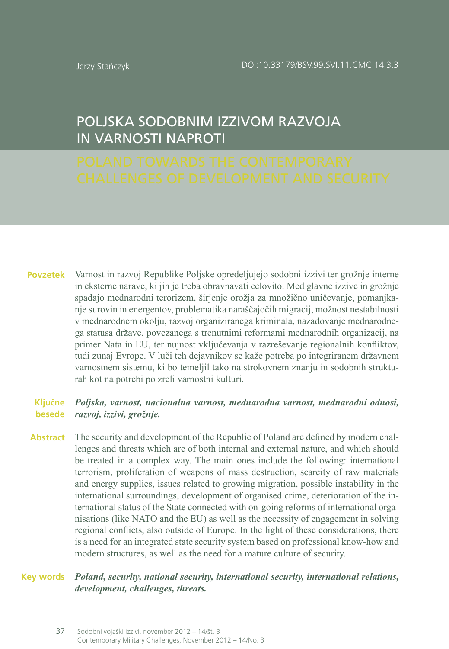# POLJSKA SODOBNIM IZZIVOM RAZVOJA IN VARNOSTI NAPROTI

Varnost in razvoj Republike Poljske opredeljujejo sodobni izzivi ter grožnje interne in eksterne narave, ki jih je treba obravnavati celovito. Med glavne izzive in grožnje spadajo mednarodni terorizem, širjenje orožja za množično uničevanje, pomanjkanje surovin in energentov, problematika naraščajočih migracij, možnost nestabilnosti v mednarodnem okolju, razvoj organiziranega kriminala, nazadovanje mednarodnega statusa države, povezanega s trenutnimi reformami mednarodnih organizacij, na primer Nata in EU, ter nujnost vključevanja v razreševanje regionalnih konfliktov, tudi zunaj Evrope. V luči teh dejavnikov se kaže potreba po integriranem državnem varnostnem sistemu, ki bo temeljil tako na strokovnem znanju in sodobnih strukturah kot na potrebi po zreli varnostni kulturi. **Povzetek**

#### *Poljska, varnost, nacionalna varnost, mednarodna varnost, mednarodni odnosi, razvoj, izzivi, grožnje.* **besede Ključne**

**Abstract** The security and development of the Republic of Poland are defined by modern challenges and threats which are of both internal and external nature, and which should be treated in a complex way. The main ones include the following: international terrorism, proliferation of weapons of mass destruction, scarcity of raw materials and energy supplies, issues related to growing migration, possible instability in the international surroundings, development of organised crime, deterioration of the international status of the State connected with on-going reforms of international organisations (like NATO and the EU) as well as the necessity of engagement in solving regional conflicts, also outside of Europe. In the light of these considerations, there is a need for an integrated state security system based on professional know-how and modern structures, as well as the need for a mature culture of security.

#### *Poland, security, national security, international security, international relations, development, challenges, threats.* **Key words**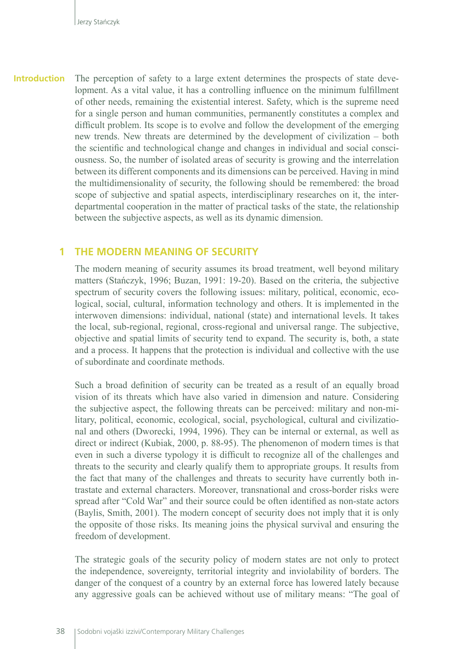The perception of safety to a large extent determines the prospects of state development. As a vital value, it has a controlling influence on the minimum fulfillment of other needs, remaining the existential interest. Safety, which is the supreme need for a single person and human communities, permanently constitutes a complex and difficult problem. Its scope is to evolve and follow the development of the emerging new trends. New threats are determined by the development of civilization – both the scientific and technological change and changes in individual and social consciousness. So, the number of isolated areas of security is growing and the interrelation between its different components and its dimensions can be perceived. Having in mind the multidimensionality of security, the following should be remembered: the broad scope of subjective and spatial aspects, interdisciplinary researches on it, the interdepartmental cooperation in the matter of practical tasks of the state, the relationship between the subjective aspects, as well as its dynamic dimension. **Introduction**

### **1 THE MODERN MEANING OF SECURITY**

The modern meaning of security assumes its broad treatment, well beyond military matters (Stańczyk, 1996; Buzan, 1991: 19-20). Based on the criteria, the subjective spectrum of security covers the following issues: military, political, economic, ecological, social, cultural, information technology and others. It is implemented in the interwoven dimensions: individual, national (state) and international levels. It takes the local, sub-regional, regional, cross-regional and universal range. The subjective, objective and spatial limits of security tend to expand. The security is, both, a state and a process. It happens that the protection is individual and collective with the use of subordinate and coordinate methods.

Such a broad definition of security can be treated as a result of an equally broad vision of its threats which have also varied in dimension and nature. Considering the subjective aspect, the following threats can be perceived: military and non-military, political, economic, ecological, social, psychological, cultural and civilizational and others (Dworecki, 1994, 1996). They can be internal or external, as well as direct or indirect (Kubiak, 2000, p. 88-95). The phenomenon of modern times is that even in such a diverse typology it is difficult to recognize all of the challenges and threats to the security and clearly qualify them to appropriate groups. It results from the fact that many of the challenges and threats to security have currently both intrastate and external characters. Moreover, transnational and cross-border risks were spread after "Cold War" and their source could be often identified as non-state actors (Baylis, Smith, 2001). The modern concept of security does not imply that it is only the opposite of those risks. Its meaning joins the physical survival and ensuring the freedom of development.

The strategic goals of the security policy of modern states are not only to protect the independence, sovereignty, territorial integrity and inviolability of borders. The danger of the conquest of a country by an external force has lowered lately because any aggressive goals can be achieved without use of military means: "The goal of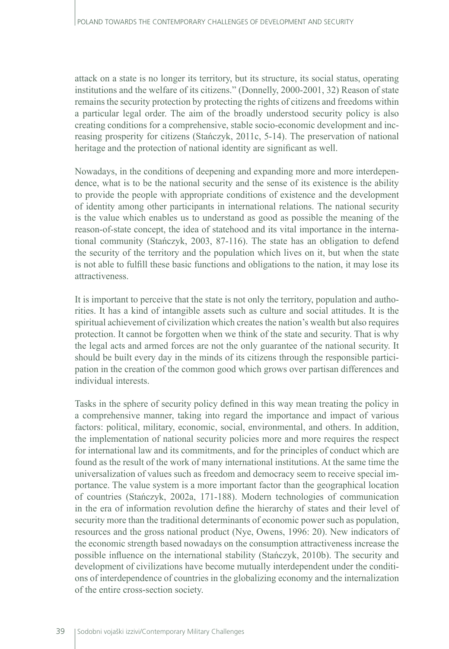attack on a state is no longer its territory, but its structure, its social status, operating institutions and the welfare of its citizens." (Donnelly, 2000-2001, 32) Reason of state remains the security protection by protecting the rights of citizens and freedoms within a particular legal order. The aim of the broadly understood security policy is also creating conditions for a comprehensive, stable socio-economic development and increasing prosperity for citizens (Stańczyk, 2011c, 5-14). The preservation of national heritage and the protection of national identity are significant as well.

Nowadays, in the conditions of deepening and expanding more and more interdependence, what is to be the national security and the sense of its existence is the ability to provide the people with appropriate conditions of existence and the development of identity among other participants in international relations. The national security is the value which enables us to understand as good as possible the meaning of the reason-of-state concept, the idea of statehood and its vital importance in the international community (Stańczyk, 2003, 87-116). The state has an obligation to defend the security of the territory and the population which lives on it, but when the state is not able to fulfill these basic functions and obligations to the nation, it may lose its attractiveness.

It is important to perceive that the state is not only the territory, population and authorities. It has a kind of intangible assets such as culture and social attitudes. It is the spiritual achievement of civilization which creates the nation's wealth but also requires protection. It cannot be forgotten when we think of the state and security. That is why the legal acts and armed forces are not the only guarantee of the national security. It should be built every day in the minds of its citizens through the responsible participation in the creation of the common good which grows over partisan differences and individual interests.

Tasks in the sphere of security policy defined in this way mean treating the policy in a comprehensive manner, taking into regard the importance and impact of various factors: political, military, economic, social, environmental, and others. In addition, the implementation of national security policies more and more requires the respect for international law and its commitments, and for the principles of conduct which are found as the result of the work of many international institutions. At the same time the universalization of values such as freedom and democracy seem to receive special importance. The value system is a more important factor than the geographical location of countries (Stańczyk, 2002a, 171-188). Modern technologies of communication in the era of information revolution define the hierarchy of states and their level of security more than the traditional determinants of economic power such as population, resources and the gross national product (Nye, Owens, 1996: 20). New indicators of the economic strength based nowadays on the consumption attractiveness increase the possible influence on the international stability (Stańczyk, 2010b). The security and development of civilizations have become mutually interdependent under the conditions of interdependence of countries in the globalizing economy and the internalization of the entire cross-section society.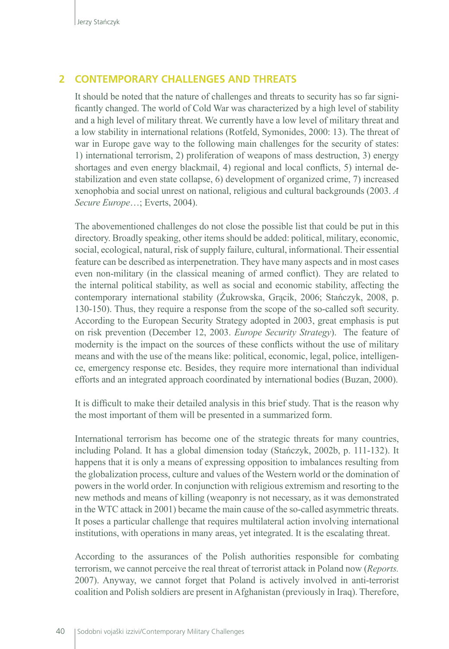## **2 CONTEMPORARY CHALLENGES AND THREATS**

It should be noted that the nature of challenges and threats to security has so far significantly changed. The world of Cold War was characterized by a high level of stability and a high level of military threat. We currently have a low level of military threat and a low stability in international relations (Rotfeld, Symonides, 2000: 13). The threat of war in Europe gave way to the following main challenges for the security of states: 1) international terrorism, 2) proliferation of weapons of mass destruction, 3) energy shortages and even energy blackmail, 4) regional and local conflicts, 5) internal destabilization and even state collapse, 6) development of organized crime, 7) increased xenophobia and social unrest on national, religious and cultural backgrounds (2003. *A Secure Europe*…; Everts, 2004).

The abovementioned challenges do not close the possible list that could be put in this directory. Broadly speaking, other items should be added: political, military, economic, social, ecological, natural, risk of supply failure, cultural, informational. Their essential feature can be described as interpenetration. They have many aspects and in most cases even non-military (in the classical meaning of armed conflict). They are related to the internal political stability, as well as social and economic stability, affecting the contemporary international stability (Żukrowska, Grącik, 2006; Stańczyk, 2008, p. 130-150). Thus, they require a response from the scope of the so-called soft security. According to the European Security Strategy adopted in 2003, great emphasis is put on risk prevention (December 12, 2003. *Europe Security Strategy*). The feature of modernity is the impact on the sources of these conflicts without the use of military means and with the use of the means like: political, economic, legal, police, intelligence, emergency response etc. Besides, they require more international than individual efforts and an integrated approach coordinated by international bodies (Buzan, 2000).

It is difficult to make their detailed analysis in this brief study. That is the reason why the most important of them will be presented in a summarized form.

International terrorism has become one of the strategic threats for many countries, including Poland. It has a global dimension today (Stańczyk, 2002b, p. 111-132). It happens that it is only a means of expressing opposition to imbalances resulting from the globalization process, culture and values of the Western world or the domination of powers in the world order. In conjunction with religious extremism and resorting to the new methods and means of killing (weaponry is not necessary, as it was demonstrated in the WTC attack in 2001) became the main cause of the so-called asymmetric threats. It poses a particular challenge that requires multilateral action involving international institutions, with operations in many areas, yet integrated. It is the escalating threat.

According to the assurances of the Polish authorities responsible for combating terrorism, we cannot perceive the real threat of terrorist attack in Poland now (*Reports.*  2007). Anyway, we cannot forget that Poland is actively involved in anti-terrorist coalition and Polish soldiers are present in Afghanistan (previously in Iraq). Therefore,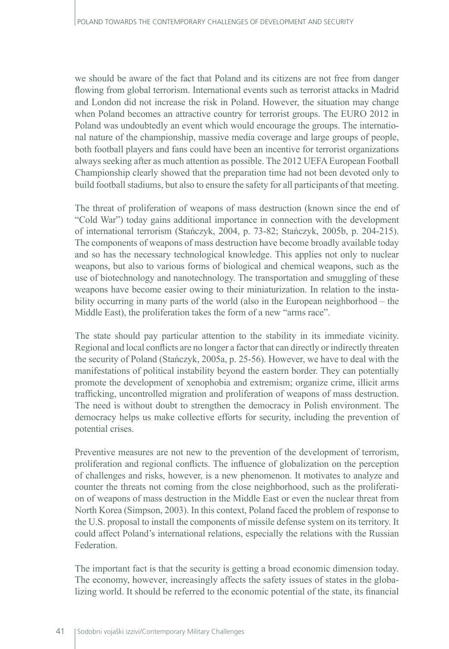we should be aware of the fact that Poland and its citizens are not free from danger flowing from global terrorism. International events such as terrorist attacks in Madrid and London did not increase the risk in Poland. However, the situation may change when Poland becomes an attractive country for terrorist groups. The EURO 2012 in Poland was undoubtedly an event which would encourage the groups. The international nature of the championship, massive media coverage and large groups of people, both football players and fans could have been an incentive for terrorist organizations always seeking after as much attention as possible. The 2012 UEFA European Football Championship clearly showed that the preparation time had not been devoted only to build football stadiums, but also to ensure the safety for all participants of that meeting.

The threat of proliferation of weapons of mass destruction (known since the end of "Cold War") today gains additional importance in connection with the development of international terrorism (Stańczyk, 2004, p. 73-82; Stańczyk, 2005b, p. 204-215). The components of weapons of mass destruction have become broadly available today and so has the necessary technological knowledge. This applies not only to nuclear weapons, but also to various forms of biological and chemical weapons, such as the use of biotechnology and nanotechnology. The transportation and smuggling of these weapons have become easier owing to their miniaturization. In relation to the instability occurring in many parts of the world (also in the European neighborhood – the Middle East), the proliferation takes the form of a new "arms race".

The state should pay particular attention to the stability in its immediate vicinity. Regional and local conflicts are no longer a factor that can directly or indirectly threaten the security of Poland (Stańczyk, 2005a, p. 25-56). However, we have to deal with the manifestations of political instability beyond the eastern border. They can potentially promote the development of xenophobia and extremism; organize crime, illicit arms trafficking, uncontrolled migration and proliferation of weapons of mass destruction. The need is without doubt to strengthen the democracy in Polish environment. The democracy helps us make collective efforts for security, including the prevention of potential crises.

Preventive measures are not new to the prevention of the development of terrorism, proliferation and regional conflicts. The influence of globalization on the perception of challenges and risks, however, is a new phenomenon. It motivates to analyze and counter the threats not coming from the close neighborhood, such as the proliferation of weapons of mass destruction in the Middle East or even the nuclear threat from North Korea (Simpson, 2003). In this context, Poland faced the problem of response to the U.S. proposal to install the components of missile defense system on its territory. It could affect Poland's international relations, especially the relations with the Russian Federation.

The important fact is that the security is getting a broad economic dimension today. The economy, however, increasingly affects the safety issues of states in the globalizing world. It should be referred to the economic potential of the state, its financial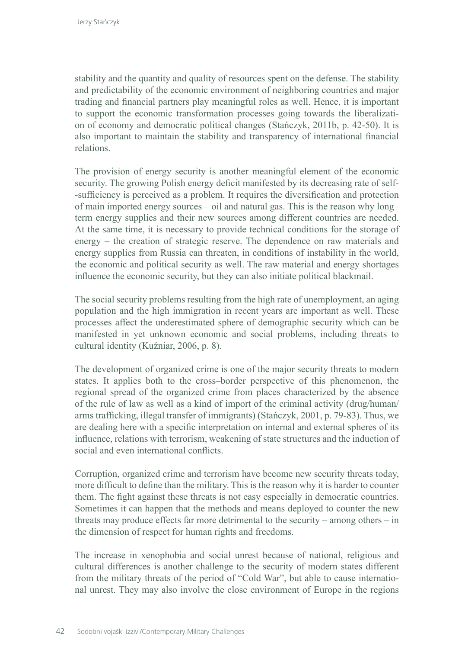stability and the quantity and quality of resources spent on the defense. The stability and predictability of the economic environment of neighboring countries and major trading and financial partners play meaningful roles as well. Hence, it is important to support the economic transformation processes going towards the liberalization of economy and democratic political changes (Stańczyk, 2011b, p. 42-50). It is also important to maintain the stability and transparency of international financial relations.

The provision of energy security is another meaningful element of the economic security. The growing Polish energy deficit manifested by its decreasing rate of self- -sufficiency is perceived as a problem. It requires the diversification and protection of main imported energy sources – oil and natural gas. This is the reason why long– term energy supplies and their new sources among different countries are needed. At the same time, it is necessary to provide technical conditions for the storage of energy – the creation of strategic reserve. The dependence on raw materials and energy supplies from Russia can threaten, in conditions of instability in the world, the economic and political security as well. The raw material and energy shortages influence the economic security, but they can also initiate political blackmail.

The social security problems resulting from the high rate of unemployment, an aging population and the high immigration in recent years are important as well. These processes affect the underestimated sphere of demographic security which can be manifested in yet unknown economic and social problems, including threats to cultural identity (Kuźniar, 2006, p. 8).

The development of organized crime is one of the major security threats to modern states. It applies both to the cross–border perspective of this phenomenon, the regional spread of the organized crime from places characterized by the absence of the rule of law as well as a kind of import of the criminal activity (drug/human/ arms trafficking, illegal transfer of immigrants) (Stańczyk, 2001, p. 79-83). Thus, we are dealing here with a specific interpretation on internal and external spheres of its influence, relations with terrorism, weakening of state structures and the induction of social and even international conflicts.

Corruption, organized crime and terrorism have become new security threats today, more difficult to define than the military. This is the reason why it is harder to counter them. The fight against these threats is not easy especially in democratic countries. Sometimes it can happen that the methods and means deployed to counter the new threats may produce effects far more detrimental to the security – among others – in the dimension of respect for human rights and freedoms.

The increase in xenophobia and social unrest because of national, religious and cultural differences is another challenge to the security of modern states different from the military threats of the period of "Cold War", but able to cause international unrest. They may also involve the close environment of Europe in the regions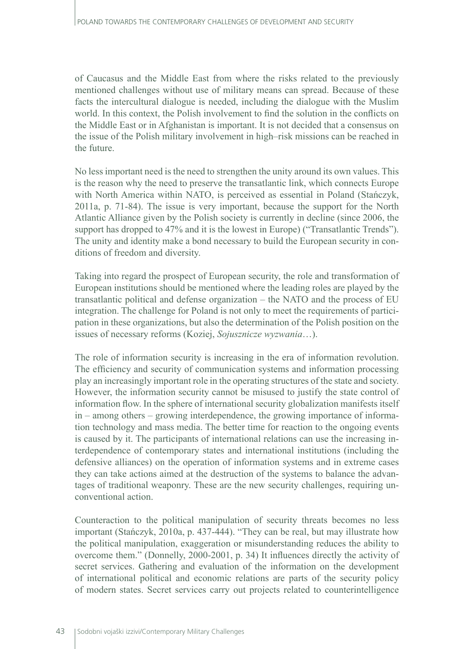of Caucasus and the Middle East from where the risks related to the previously mentioned challenges without use of military means can spread. Because of these facts the intercultural dialogue is needed, including the dialogue with the Muslim world. In this context, the Polish involvement to find the solution in the conflicts on the Middle East or in Afghanistan is important. It is not decided that a consensus on the issue of the Polish military involvement in high–risk missions can be reached in the future.

No less important need is the need to strengthen the unity around its own values. This is the reason why the need to preserve the transatlantic link, which connects Europe with North America within NATO, is perceived as essential in Poland (Stańczyk, 2011a, p. 71-84). The issue is very important, because the support for the North Atlantic Alliance given by the Polish society is currently in decline (since 2006, the support has dropped to 47% and it is the lowest in Europe) ("Transatlantic Trends"). The unity and identity make a bond necessary to build the European security in conditions of freedom and diversity.

Taking into regard the prospect of European security, the role and transformation of European institutions should be mentioned where the leading roles are played by the transatlantic political and defense organization – the NATO and the process of EU integration. The challenge for Poland is not only to meet the requirements of participation in these organizations, but also the determination of the Polish position on the issues of necessary reforms (Koziej, *Sojusznicze wyzwania*…).

The role of information security is increasing in the era of information revolution. The efficiency and security of communication systems and information processing play an increasingly important role in the operating structures of the state and society. However, the information security cannot be misused to justify the state control of information flow. In the sphere of international security globalization manifests itself in – among others – growing interdependence, the growing importance of information technology and mass media. The better time for reaction to the ongoing events is caused by it. The participants of international relations can use the increasing interdependence of contemporary states and international institutions (including the defensive alliances) on the operation of information systems and in extreme cases they can take actions aimed at the destruction of the systems to balance the advantages of traditional weaponry. These are the new security challenges, requiring unconventional action.

Counteraction to the political manipulation of security threats becomes no less important (Stańczyk, 2010a, p. 437-444). "They can be real, but may illustrate how the political manipulation, exaggeration or misunderstanding reduces the ability to overcome them." (Donnelly, 2000-2001, p. 34) It influences directly the activity of secret services. Gathering and evaluation of the information on the development of international political and economic relations are parts of the security policy of modern states. Secret services carry out projects related to counterintelligence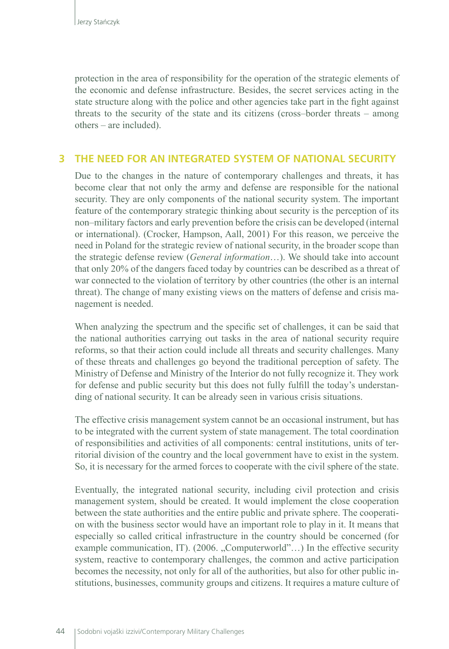protection in the area of responsibility for the operation of the strategic elements of the economic and defense infrastructure. Besides, the secret services acting in the state structure along with the police and other agencies take part in the fight against threats to the security of the state and its citizens (cross–border threats – among others – are included).

## **3 THE NEED FOR AN INTEGRATED SYSTEM OF NATIONAL SECURITY**

Due to the changes in the nature of contemporary challenges and threats, it has become clear that not only the army and defense are responsible for the national security. They are only components of the national security system. The important feature of the contemporary strategic thinking about security is the perception of its non–military factors and early prevention before the crisis can be developed (internal or international). (Crocker, Hampson, Aall, 2001) For this reason, we perceive the need in Poland for the strategic review of national security, in the broader scope than the strategic defense review (*General information*…). We should take into account that only 20% of the dangers faced today by countries can be described as a threat of war connected to the violation of territory by other countries (the other is an internal threat). The change of many existing views on the matters of defense and crisis management is needed.

When analyzing the spectrum and the specific set of challenges, it can be said that the national authorities carrying out tasks in the area of national security require reforms, so that their action could include all threats and security challenges. Many of these threats and challenges go beyond the traditional perception of safety. The Ministry of Defense and Ministry of the Interior do not fully recognize it. They work for defense and public security but this does not fully fulfill the today's understanding of national security. It can be already seen in various crisis situations.

The effective crisis management system cannot be an occasional instrument, but has to be integrated with the current system of state management. The total coordination of responsibilities and activities of all components: central institutions, units of territorial division of the country and the local government have to exist in the system. So, it is necessary for the armed forces to cooperate with the civil sphere of the state.

Eventually, the integrated national security, including civil protection and crisis management system, should be created. It would implement the close cooperation between the state authorities and the entire public and private sphere. The cooperation with the business sector would have an important role to play in it. It means that especially so called critical infrastructure in the country should be concerned (for example communication, IT). (2006. "Computerworld"...) In the effective security system, reactive to contemporary challenges, the common and active participation becomes the necessity, not only for all of the authorities, but also for other public institutions, businesses, community groups and citizens. It requires a mature culture of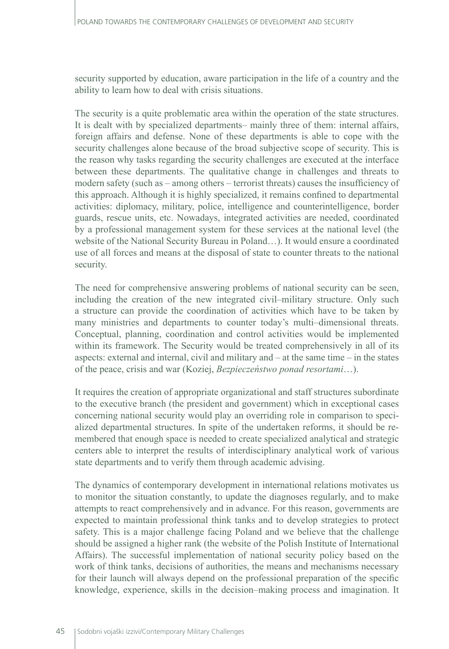security supported by education, aware participation in the life of a country and the ability to learn how to deal with crisis situations.

The security is a quite problematic area within the operation of the state structures. It is dealt with by specialized departments– mainly three of them: internal affairs, foreign affairs and defense. None of these departments is able to cope with the security challenges alone because of the broad subjective scope of security. This is the reason why tasks regarding the security challenges are executed at the interface between these departments. The qualitative change in challenges and threats to modern safety (such as – among others – terrorist threats) causes the insufficiency of this approach. Although it is highly specialized, it remains confined to departmental activities: diplomacy, military, police, intelligence and counterintelligence, border guards, rescue units, etc. Nowadays, integrated activities are needed, coordinated by a professional management system for these services at the national level (the website of the National Security Bureau in Poland…). It would ensure a coordinated use of all forces and means at the disposal of state to counter threats to the national security.

The need for comprehensive answering problems of national security can be seen, including the creation of the new integrated civil–military structure. Only such a structure can provide the coordination of activities which have to be taken by many ministries and departments to counter today's multi–dimensional threats. Conceptual, planning, coordination and control activities would be implemented within its framework. The Security would be treated comprehensively in all of its aspects: external and internal, civil and military and – at the same time – in the states of the peace, crisis and war (Koziej, *Bezpieczeństwo ponad resortami*…).

It requires the creation of appropriate organizational and staff structures subordinate to the executive branch (the president and government) which in exceptional cases concerning national security would play an overriding role in comparison to specialized departmental structures. In spite of the undertaken reforms, it should be remembered that enough space is needed to create specialized analytical and strategic centers able to interpret the results of interdisciplinary analytical work of various state departments and to verify them through academic advising.

The dynamics of contemporary development in international relations motivates us to monitor the situation constantly, to update the diagnoses regularly, and to make attempts to react comprehensively and in advance. For this reason, governments are expected to maintain professional think tanks and to develop strategies to protect safety. This is a major challenge facing Poland and we believe that the challenge should be assigned a higher rank (the website of the Polish Institute of International Affairs). The successful implementation of national security policy based on the work of think tanks, decisions of authorities, the means and mechanisms necessary for their launch will always depend on the professional preparation of the specific knowledge, experience, skills in the decision–making process and imagination. It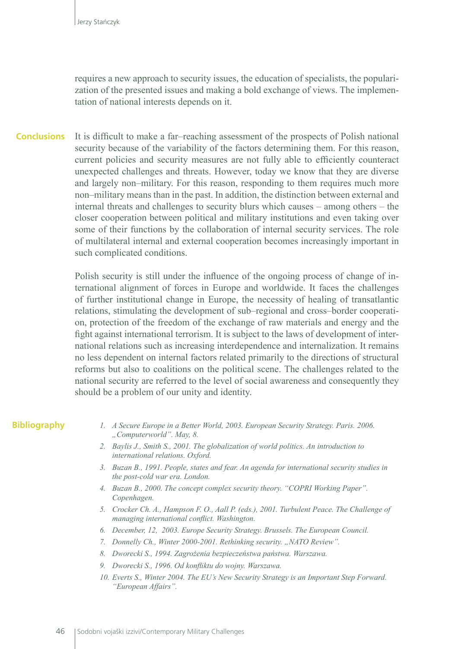requires a new approach to security issues, the education of specialists, the popularization of the presented issues and making a bold exchange of views. The implementation of national interests depends on it.

It is difficult to make a far–reaching assessment of the prospects of Polish national security because of the variability of the factors determining them. For this reason, current policies and security measures are not fully able to efficiently counteract unexpected challenges and threats. However, today we know that they are diverse and largely non–military. For this reason, responding to them requires much more non–military means than in the past. In addition, the distinction between external and internal threats and challenges to security blurs which causes – among others – the closer cooperation between political and military institutions and even taking over some of their functions by the collaboration of internal security services. The role of multilateral internal and external cooperation becomes increasingly important in such complicated conditions. **Conclusions**

> Polish security is still under the influence of the ongoing process of change of international alignment of forces in Europe and worldwide. It faces the challenges of further institutional change in Europe, the necessity of healing of transatlantic relations, stimulating the development of sub–regional and cross–border cooperation, protection of the freedom of the exchange of raw materials and energy and the fight against international terrorism. It is subject to the laws of development of international relations such as increasing interdependence and internalization. It remains no less dependent on internal factors related primarily to the directions of structural reforms but also to coalitions on the political scene. The challenges related to the national security are referred to the level of social awareness and consequently they should be a problem of our unity and identity.

#### **Bibliography**

- *1. A Secure Europe in a Better World, 2003. European Security Strategy. Paris. 2006. "Computerworld". May, 8.*
- *2. Baylis J., Smith S., 2001. The globalization of world politics. An introduction to international relations. Oxford.*
- *3. Buzan B., 1991. People, states and fear. An agenda for international security studies in the post-cold war era. London.*
- *4. Buzan B., 2000. The concept complex security theory. "COPRI Working Paper". Copenhagen.*
- *5. Crocker Ch. A., Hampson F. O., Aall P. (eds.), 2001. Turbulent Peace. The Challenge of managing international conflict. Washington.*
- *6. December, 12, 2003. Europe Security Strategy. Brussels. The European Council.*
- 7. Donnelly Ch., Winter 2000-2001. Rethinking security. "NATO Review".
- *8. Dworecki S., 1994. Zagrożenia bezpieczeństwa państwa. Warszawa.*
- *9. Dworecki S., 1996. Od konfliktu do wojny. Warszawa.*
- *10. Everts S., Winter 2004. The EU's New Security Strategy is an Important Step Forward. "European Affairs".*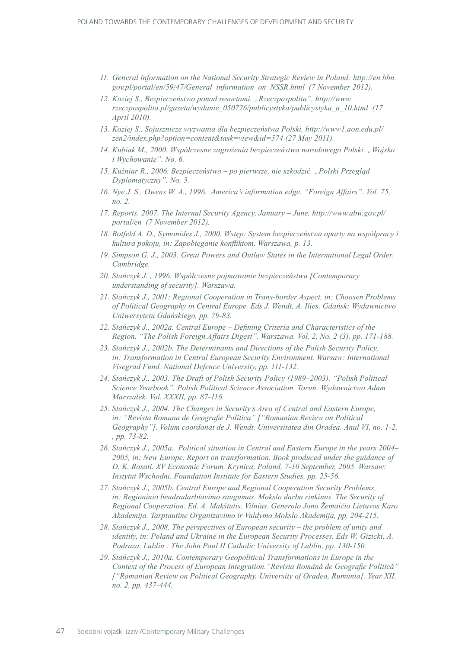- *11. General information on the National Security Strategic Review in Poland: http://en.bbn. gov.pl/portal/en/59/47/General\_information\_on\_NSSR.html (7 November 2012).*
- *12. Koziej S., Bezpieczeństwo ponad resortami. "Rzeczpospolita", http://www. rzeczpospolita.pl/gazeta/wydanie\_050726/publicystyka/publicystyka\_a\_10.html (17 April 2010).*
- *13. Koziej S., Sojusznicze wyzwania dla bezpieczeństwa Polski, http://www1.aon.edu.pl/ zen2/index.php?option=content&task=view&id=574 (27 May 2011).*
- *14. Kubiak M., 2000. Współczesne zagrożenia bezpieczeństwa narodowego Polski. "Wojsko i Wychowanie". No. 6.*
- *15. Kuźniar R., 2006. Bezpieczeństwo po pierwsze, nie szkodzić. "Polski Przegląd Dyplomatyczny". No. 5.*
- *16. Nye J. S., Owens W. A., 1996. America's information edge. "Foreign Affairs". Vol. 75, no. 2.*
- *17. Reports. 2007. The Internal Security Agency, January June, http://www.abw.gov.pl/ portal/en (7 November 2012).*
- *18. Rotfeld A. D., Symonides J., 2000. Wstęp: System bezpieczeństwa oparty na współpracy i kultura pokoju, in: Zapobieganie konfliktom. Warszawa, p. 13.*
- *19. Simpson G. J., 2003. Great Powers and Outlaw States in the International Legal Order. Cambridge.*
- *20. Stańczyk J. , 1996. Współczesne pojmowanie bezpieczeństwa [Contemporary understanding of security]. Warszawa.*
- *21. Stańczyk J., 2001: Regional Cooperation in Trans-border Aspect, in: Choosen Problems of Political Geography in Central Europe. Eds J. Wendt, A. Ilies. Gdańsk: Wydawnictwo Uniwersytetu Gdańskiego, pp. 79-83.*
- *22. Stańczyk J., 2002a. Central Europe Defining Criteria and Characteristics of the Region. "The Polish Foreign Affairs Digest". Warszawa. Vol. 2, No. 2 (3), pp. 171-188.*
- *23. Stańczyk J., 2002b. The Determinants and Directions of the Polish Security Policy, in: Transformation in Central European Security Environment. Warsaw: International Visegrad Fund. National Defence University, pp. 111-132.*
- *24. Stańczyk J., 2003. The Draft of Polish Security Policy (1989–2003). "Polish Political Science Yearbook". Polish Political Science Association. Toruń: Wydawnictwo Adam Marszałek. Vol. XXXII, pp. 87-116.*
- *25. Stańczyk J., 2004. The Changes in Security's Area of Central and Eastern Europe, in: "Revista Romana de Geografie Politica" ["Romanian Review on Political Geography"]. Volum coordonat de J. Wendt. Universitatea din Oradea. Anul VI, no. 1-2, , pp. 73-82.*
- *26. Stańczyk J., 2005a. Political situation in Central and Eastern Europe in the years 2004– 2005, in: New Europe. Report on transformation. Book produced under the guidance of D. K. Rosati. XV Economic Forum, Krynica, Poland, 7-10 September, 2005. Warsaw: Instytut Wschodni. Foundation Institute for Eastern Studies, pp. 25-56.*
- *27. Stańczyk J., 2005b. Central Europe and Regional Cooperation Security Problems, in: Regioninio bendradarbiavimo saugumas. Mokslo darbu rinkinus. The Security of Regional Cooperation. Ed. A. Makštutis. Vilnius. Generolo Jono Žemaičio Lietuvos Karo Akademija. Tarptautine Organizavimo ir Valdymo Mokslo Akademija, pp. 204-215.*
- *28. Stańczyk J., 2008. The perspectives of European security the problem of unity and identity, in: Poland and Ukraine in the European Security Processes. Eds W. Gizicki, A. Podraza. Lublin : The John Paul II Catholic University of Lublin, pp. 130-150.*
- *29. Stańczyk J., 2010a. Contemporary Geopolitical Transformations in Europe in the Context of the Process of European Integration."Revista Română de Geografie Politică" ["Romanian Review on Political Geography, University of Oradea, Rumunia]. Year XII, no. 2, pp. 437-444.*